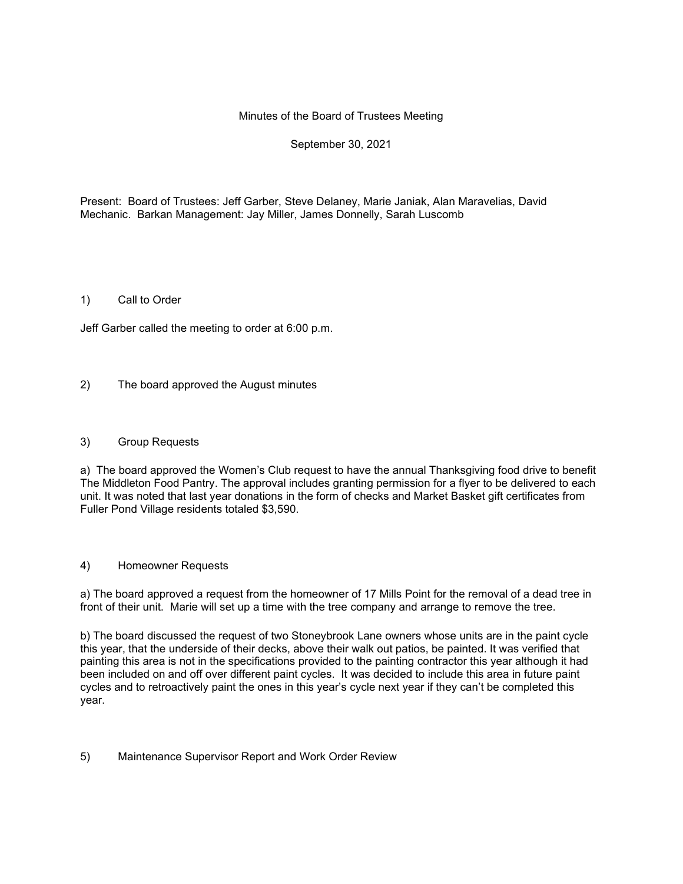### Minutes of the Board of Trustees Meeting

# September 30, 2021

Present: Board of Trustees: Jeff Garber, Steve Delaney, Marie Janiak, Alan Maravelias, David Mechanic. Barkan Management: Jay Miller, James Donnelly, Sarah Luscomb

#### 1) Call to Order

Jeff Garber called the meeting to order at 6:00 p.m.

2) The board approved the August minutes

#### 3) Group Requests

a) The board approved the Women's Club request to have the annual Thanksgiving food drive to benefit The Middleton Food Pantry. The approval includes granting permission for a flyer to be delivered to each unit. It was noted that last year donations in the form of checks and Market Basket gift certificates from Fuller Pond Village residents totaled \$3,590.

#### 4) Homeowner Requests

a) The board approved a request from the homeowner of 17 Mills Point for the removal of a dead tree in front of their unit. Marie will set up a time with the tree company and arrange to remove the tree.

b) The board discussed the request of two Stoneybrook Lane owners whose units are in the paint cycle this year, that the underside of their decks, above their walk out patios, be painted. It was verified that painting this area is not in the specifications provided to the painting contractor this year although it had been included on and off over different paint cycles. It was decided to include this area in future paint cycles and to retroactively paint the ones in this year's cycle next year if they can't be completed this year.

#### 5) Maintenance Supervisor Report and Work Order Review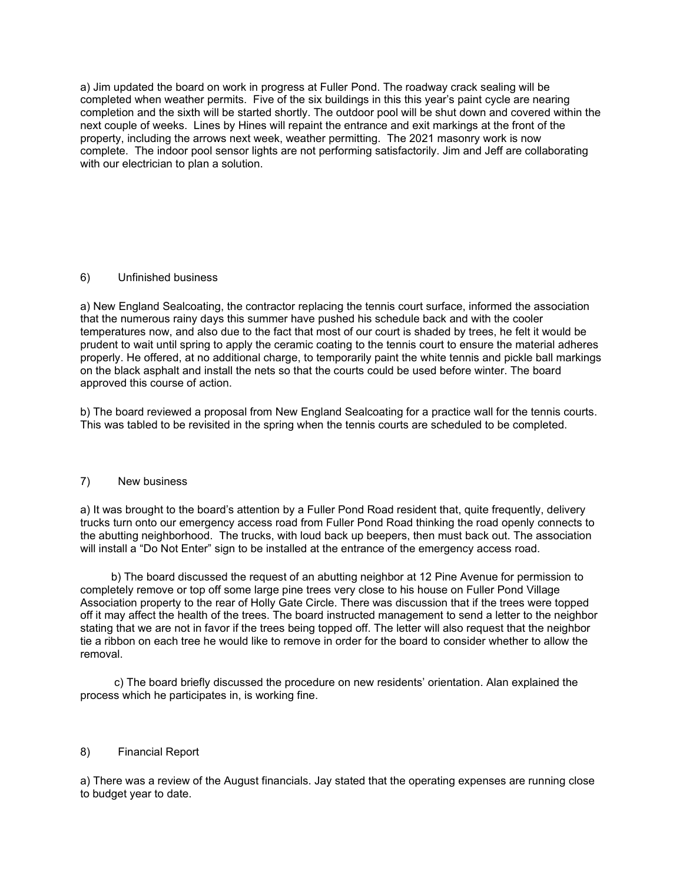a) Jim updated the board on work in progress at Fuller Pond. The roadway crack sealing will be completed when weather permits. Five of the six buildings in this this year's paint cycle are nearing completion and the sixth will be started shortly. The outdoor pool will be shut down and covered within the next couple of weeks. Lines by Hines will repaint the entrance and exit markings at the front of the property, including the arrows next week, weather permitting. The 2021 masonry work is now complete. The indoor pool sensor lights are not performing satisfactorily. Jim and Jeff are collaborating with our electrician to plan a solution.

## 6) Unfinished business

a) New England Sealcoating, the contractor replacing the tennis court surface, informed the association that the numerous rainy days this summer have pushed his schedule back and with the cooler temperatures now, and also due to the fact that most of our court is shaded by trees, he felt it would be prudent to wait until spring to apply the ceramic coating to the tennis court to ensure the material adheres properly. He offered, at no additional charge, to temporarily paint the white tennis and pickle ball markings on the black asphalt and install the nets so that the courts could be used before winter. The board approved this course of action.

b) The board reviewed a proposal from New England Sealcoating for a practice wall for the tennis courts. This was tabled to be revisited in the spring when the tennis courts are scheduled to be completed.

#### 7) New business

a) It was brought to the board's attention by a Fuller Pond Road resident that, quite frequently, delivery trucks turn onto our emergency access road from Fuller Pond Road thinking the road openly connects to the abutting neighborhood. The trucks, with loud back up beepers, then must back out. The association will install a "Do Not Enter" sign to be installed at the entrance of the emergency access road.

 b) The board discussed the request of an abutting neighbor at 12 Pine Avenue for permission to completely remove or top off some large pine trees very close to his house on Fuller Pond Village Association property to the rear of Holly Gate Circle. There was discussion that if the trees were topped off it may affect the health of the trees. The board instructed management to send a letter to the neighbor stating that we are not in favor if the trees being topped off. The letter will also request that the neighbor tie a ribbon on each tree he would like to remove in order for the board to consider whether to allow the removal.

 c) The board briefly discussed the procedure on new residents' orientation. Alan explained the process which he participates in, is working fine.

#### 8) Financial Report

a) There was a review of the August financials. Jay stated that the operating expenses are running close to budget year to date.